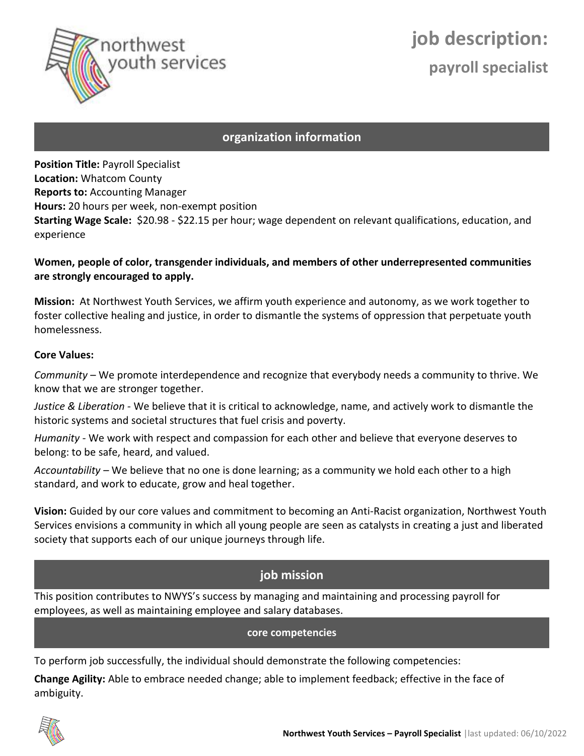

# **job description: payroll specialist**

#### **organization information**

**Position Title:** Payroll Specialist **Location:** Whatcom County **Reports to:** Accounting Manager **Hours:** 20 hours per week, non-exempt position **Starting Wage Scale:** \$20.98 - \$22.15 per hour; wage dependent on relevant qualifications, education, and experience

#### **Women, people of color, transgender individuals, and members of other underrepresented communities are strongly encouraged to apply.**

**Mission:** At Northwest Youth Services, we affirm youth experience and autonomy, as we work together to foster collective healing and justice, in order to dismantle the systems of oppression that perpetuate youth homelessness.

#### **Core Values:**

*Community* – We promote interdependence and recognize that everybody needs a community to thrive. We know that we are stronger together.

*Justice & Liberation -* We believe that it is critical to acknowledge, name, and actively work to dismantle the historic systems and societal structures that fuel crisis and poverty.

*Humanity -* We work with respect and compassion for each other and believe that everyone deserves to belong: to be safe, heard, and valued.

*Accountability –* We believe that no one is done learning; as a community we hold each other to a high standard, and work to educate, grow and heal together.

**Vision:** Guided by our core values and commitment to becoming an Anti-Racist organization, Northwest Youth Services envisions a community in which all young people are seen as catalysts in creating a just and liberated society that supports each of our unique journeys through life.

#### **job mission**

This position contributes to NWYS's success by managing and maintaining and processing payroll for employees, as well as maintaining employee and salary databases.

**core competencies**

To perform job successfully, the individual should demonstrate the following competencies:

**Change Agility:** Able to embrace needed change; able to implement feedback; effective in the face of ambiguity.

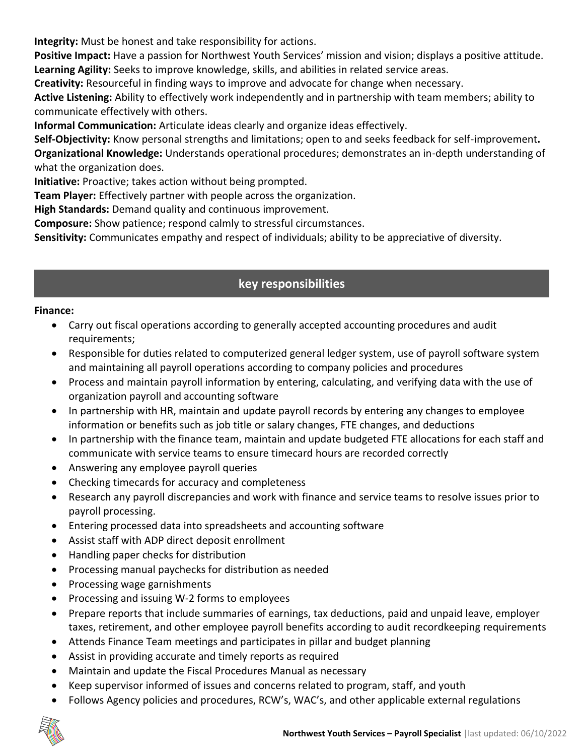**Integrity:** Must be honest and take responsibility for actions.

**Positive Impact:** Have a passion for Northwest Youth Services' mission and vision; displays a positive attitude. **Learning Agility:** Seeks to improve knowledge, skills, and abilities in related service areas.

**Creativity:** Resourceful in finding ways to improve and advocate for change when necessary.

**Active Listening:** Ability to effectively work independently and in partnership with team members; ability to communicate effectively with others.

**Informal Communication:** Articulate ideas clearly and organize ideas effectively.

**Self-Objectivity:** Know personal strengths and limitations; open to and seeks feedback for self-improvement**. Organizational Knowledge:** Understands operational procedures; demonstrates an in-depth understanding of what the organization does.

**Initiative:** Proactive; takes action without being prompted.

**Team Player:** Effectively partner with people across the organization.

**High Standards:** Demand quality and continuous improvement.

**Composure:** Show patience; respond calmly to stressful circumstances.

**Sensitivity:** Communicates empathy and respect of individuals; ability to be appreciative of diversity.

## **key responsibilities**

#### **Finance:**

- Carry out fiscal operations according to generally accepted accounting procedures and audit requirements;
- Responsible for duties related to computerized general ledger system, use of payroll software system and maintaining all payroll operations according to company policies and procedures
- Process and maintain payroll information by entering, calculating, and verifying data with the use of organization payroll and accounting software
- In partnership with HR, maintain and update payroll records by entering any changes to employee information or benefits such as job title or salary changes, FTE changes, and deductions
- In partnership with the finance team, maintain and update budgeted FTE allocations for each staff and communicate with service teams to ensure timecard hours are recorded correctly
- Answering any employee payroll queries
- Checking timecards for accuracy and completeness
- Research any payroll discrepancies and work with finance and service teams to resolve issues prior to payroll processing.
- Entering processed data into spreadsheets and accounting software
- Assist staff with ADP direct deposit enrollment
- Handling paper checks for distribution
- Processing manual paychecks for distribution as needed
- Processing wage garnishments
- Processing and issuing W-2 forms to employees
- Prepare reports that include summaries of earnings, tax deductions, paid and unpaid leave, employer taxes, retirement, and other employee payroll benefits according to audit recordkeeping requirements
- Attends Finance Team meetings and participates in pillar and budget planning
- Assist in providing accurate and timely reports as required
- Maintain and update the Fiscal Procedures Manual as necessary
- Keep supervisor informed of issues and concerns related to program, staff, and youth
- Follows Agency policies and procedures, RCW's, WAC's, and other applicable external regulations

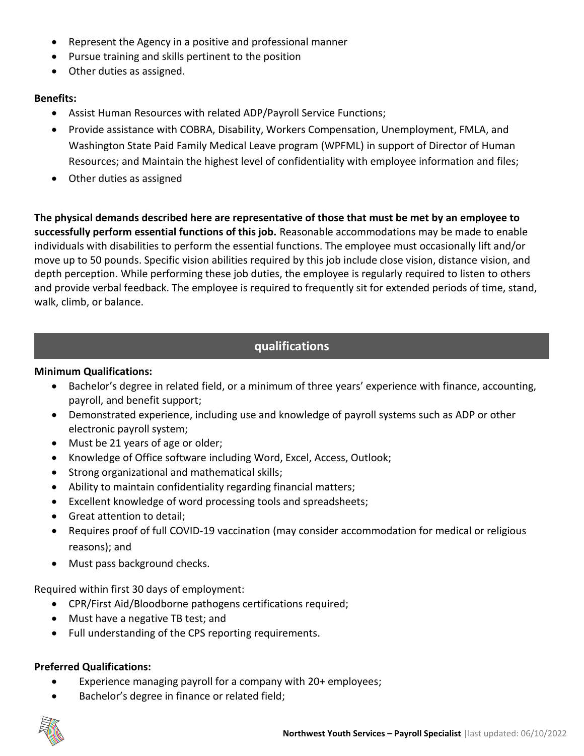- Represent the Agency in a positive and professional manner
- Pursue training and skills pertinent to the position
- Other duties as assigned.

#### **Benefits:**

- Assist Human Resources with related ADP/Payroll Service Functions;
- Provide assistance with COBRA, Disability, Workers Compensation, Unemployment, FMLA, and Washington State Paid Family Medical Leave program (WPFML) in support of Director of Human Resources; and Maintain the highest level of confidentiality with employee information and files;
- Other duties as assigned

**The physical demands described here are representative of those that must be met by an employee to successfully perform essential functions of this job.** Reasonable accommodations may be made to enable individuals with disabilities to perform the essential functions. The employee must occasionally lift and/or move up to 50 pounds. Specific vision abilities required by this job include close vision, distance vision, and depth perception. While performing these job duties, the employee is regularly required to listen to others and provide verbal feedback. The employee is required to frequently sit for extended periods of time, stand, walk, climb, or balance.

### **qualifications**

#### **Minimum Qualifications:**

- Bachelor's degree in related field, or a minimum of three years' experience with finance, accounting, payroll, and benefit support;
- Demonstrated experience, including use and knowledge of payroll systems such as ADP or other electronic payroll system;
- Must be 21 years of age or older;
- Knowledge of Office software including Word, Excel, Access, Outlook;
- Strong organizational and mathematical skills;
- Ability to maintain confidentiality regarding financial matters;
- Excellent knowledge of word processing tools and spreadsheets;
- Great attention to detail;
- Requires proof of full COVID-19 vaccination (may consider accommodation for medical or religious reasons); and
- Must pass background checks.

Required within first 30 days of employment:

- CPR/First Aid/Bloodborne pathogens certifications required;
- Must have a negative TB test; and
- Full understanding of the CPS reporting requirements.

#### **Preferred Qualifications:**

- Experience managing payroll for a company with 20+ employees;
- Bachelor's degree in finance or related field;